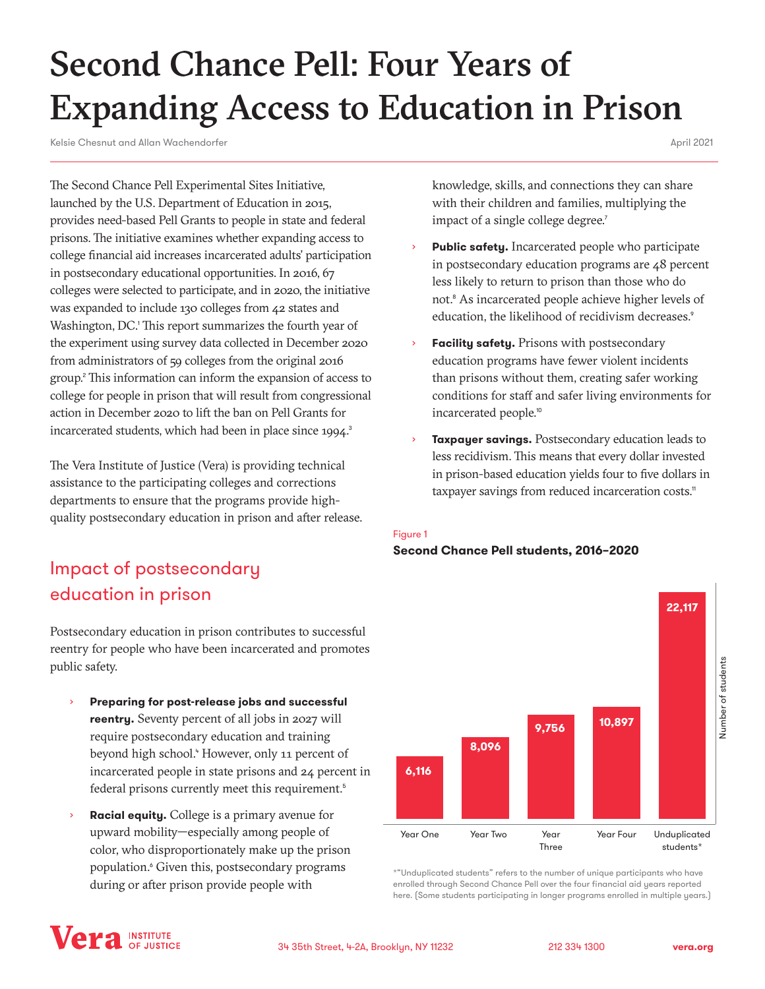# <span id="page-0-0"></span>Second Chance Pell: Four Years of Expanding Access to Education in Prison

Kelsie Chesnut and Allan Wachendorfer

April 2021

The Second Chance Pell Experimental Sites Initiative, launched by the U.S. Department of Education in 2015, provides need-based Pell Grants to people in state and federal prisons. The initiative examines whether expanding access to college financial aid increases incarcerated adults' participation in postsecondary educational opportunities. In 2016, 67 colleges were selected to participate, and in 2020, the initiative was expanded to include 130 colleges from 42 states and Washington, DC.<sup>[1](#page-5-0)</sup> This report summarizes the fourth year of the experiment using survey data collected in December 2020 from administrators of 59 colleges from the original 2016 group.[2](#page-5-0) This information can inform the expansion of access to college for people in prison that will result from congressional action in December 2020 to lift the ban on Pell Grants for incarcerated students, which had been in place since 1994.<sup>[3](#page-5-0)</sup>

The Vera Institute of Justice (Vera) is providing technical assistance to the participating colleges and corrections departments to ensure that the programs provide highquality postsecondary education in prison and after release.

# Impact of postsecondary education in prison

Postsecondary education in prison contributes to successful reentry for people who have been incarcerated and promotes public safety.

- **Preparing for post-release jobs and successful reentry.** Seventy percent of all jobs in 2027 will require postsecondary education and training beyond high school.<sup>[4](#page-5-0)</sup> However, only 11 percent of incarcerated people in state prisons and 24 percent in federal prisons currently meet this requirement.<sup>[5](#page-5-0)</sup>
- **Racial equity.** College is a primary avenue for upward mobility—especially among people of color, who disproportionately make up the prison population.[6](#page-5-0) Given this, postsecondary programs during or after prison provide people with

knowledge, skills, and connections they can share with their children and families, multiplying the impact of a single college degree.<sup>[7](#page-5-0)</sup>

- Public safety. Incarcerated people who participate in postsecondary education programs are 48 percent less likely to return to prison than those who do not.<sup>[8](#page-5-0)</sup> As incarcerated people achieve higher levels of education, the likelihood of recidivism decreases.<sup>[9](#page-5-0)</sup>
- Facility safety. Prisons with postsecondary education programs have fewer violent incidents than prisons without them, creating safer working conditions for staff and safer living environments for incarcerated people.<sup>[10](#page-5-0)</sup>
- **Taxpayer savings.** Postsecondary education leads to less recidivism. This means that every dollar invested in prison-based education yields four to five dollars in taxpayer savings from reduced incarceration costs.<sup>[11](#page-5-0)</sup>

### Figure 1

### **Second Chance Pell students, 2016–2020**



\*"Unduplicated students" refers to the number of unique participants who have enrolled through Second Chance Pell over the four financial aid years reported here. (Some students participating in longer programs enrolled in multiple years.)

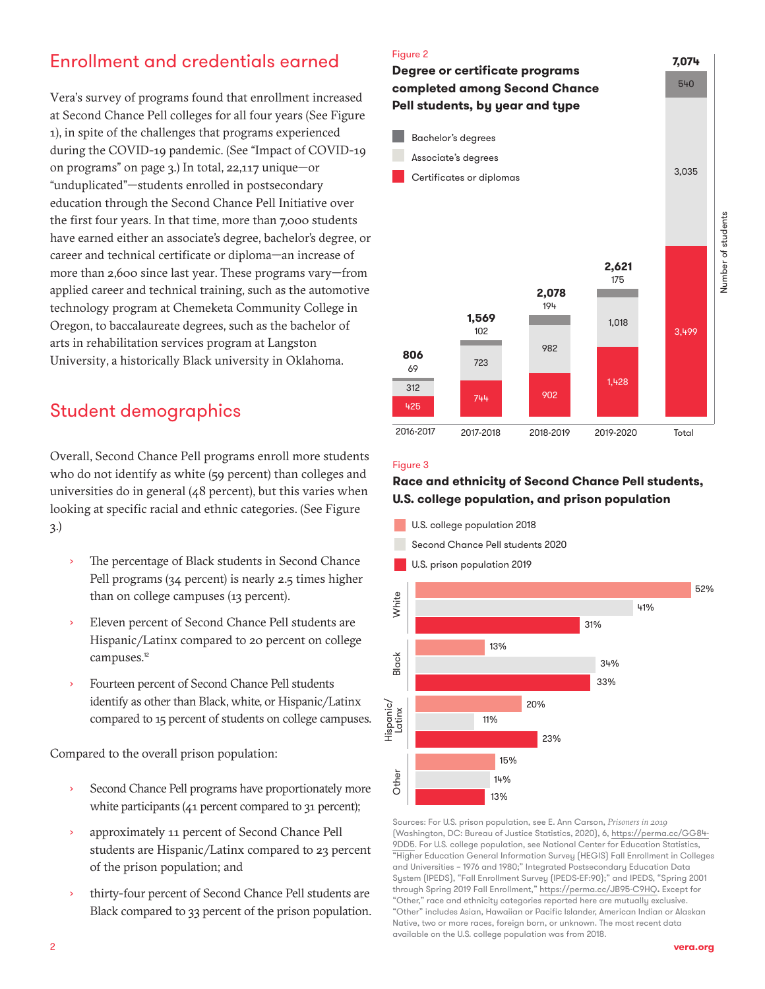# <span id="page-1-0"></span>Enrollment and credentials earned

Vera's survey of programs found that enrollment increased at Second Chance Pell colleges for all four years (See Figure 1), in spite of the challenges that programs experienced during the COVID-19 pandemic. (See "Impact of COVID-19 on programs" on page 3.) In total, 22,117 unique—or "unduplicated"—students enrolled in postsecondary education through the Second Chance Pell Initiative over the first four years. In that time, more than 7,000 students have earned either an associate's degree, bachelor's degree, or career and technical certificate or diploma—an increase of more than 2,600 since last year. These programs vary—from applied career and technical training, such as the automotive technology program at Chemeketa Community College in Oregon, to baccalaureate degrees, such as the bachelor of arts in rehabilitation services program at Langston University, a historically Black university in Oklahoma.

# Student demographics

Overall, Second Chance Pell programs enroll more students who do not identify as white (59 percent) than colleges and universities do in general (48 percent), but this varies when looking at specific racial and ethnic categories. (See Figure 3.)

- The percentage of Black students in Second Chance Pell programs (34 percent) is nearly 2.5 times higher than on college campuses (13 percent).
- Eleven percent of Second Chance Pell students are Hispanic/Latinx compared to 20 percent on college campuses.<sup>[12](#page-5-0)</sup>
- Fourteen percent of Second Chance Pell students identify as other than Black, white, or Hispanic/Latinx compared to 15 percent of students on college campuses.

Compared to the overall prison population:

- Second Chance Pell programs have proportionately more white participants (41 percent compared to 31 percent);
- approximately 11 percent of Second Chance Pell students are Hispanic/Latinx compared to 23 percent of the prison population; and
- thirty-four percent of Second Chance Pell students are Black compared to 33 percent of the prison population.



#### Figure 3

# **Race and ethnicity of Second Chance Pell students, U.S. college population, and prison population**

U.S. college population 2018 Second Chance Pell students 2020 U.S. prison population 2019 52% White 41% 31% 13% Black 34% 33% 20% Hispanic/ Hispanic/ Latinx Other Latinx 11% 23% 15% Other 14% 13%

Sources: For U.S. prison population, see E. Ann Carson, *Prisoners in 2019* (Washington, DC: Bureau of Justice Statistics, 2020), 6, [https://perma.cc/GG84-](https://perma.cc/GG84-9DD5) [9DD5](https://perma.cc/GG84-9DD5). For U.S. college population, see National Center for Education Statistics, "Higher Education General Information Survey (HEGIS) Fall Enrollment in Colleges and Universities – 1976 and 1980;" Integrated Postsecondary Education Data System (IPEDS), "Fall Enrollment Survey (IPEDS-EF:90);" and IPEDS, "Spring 2001 through Spring 2019 Fall Enrollment,"<https://perma.cc/JB95-C9HQ>**.** Except for "Other," race and ethnicity categories reported here are mutually exclusive. "Other" includes Asian, Hawaiian or Pacific Islander, American Indian or Alaskan Native, two or more races, foreign born, or unknown. The most recent data available on the U.S. college population was from 2018.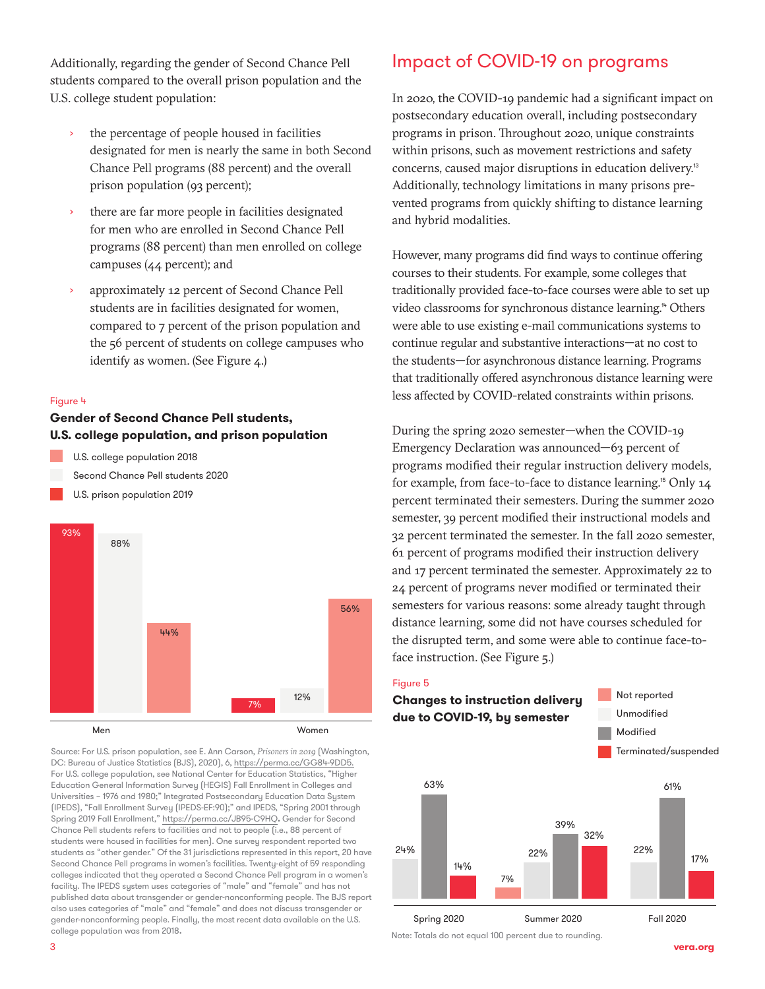<span id="page-2-0"></span>Additionally, regarding the gender of Second Chance Pell students compared to the overall prison population and the U.S. college student population:

- the percentage of people housed in facilities designated for men is nearly the same in both Second Chance Pell programs (88 percent) and the overall prison population (93 percent);
- there are far more people in facilities designated for men who are enrolled in Second Chance Pell programs (88 percent) than men enrolled on college campuses (44 percent); and
- approximately 12 percent of Second Chance Pell students are in facilities designated for women, compared to 7 percent of the prison population and the 56 percent of students on college campuses who identify as women. (See Figure 4.)

#### Figure 4

# **Gender of Second Chance Pell students, U.S. college population, and prison population**

U.S. college population 2018 Second Chance Pell students 2020

U.S. prison population 2019



Source: For U.S. prison population, see E. Ann Carson, *Prisoners in 2019* (Washington, DC: Bureau of Justice Statistics (BJS), 2020), 6, [https://perma.cc/GG84-9DD5.](https://perma.cc/GG84-9DD5) For U.S. college population, see National Center for Education Statistics, "Higher Education General Information Survey (HEGIS) Fall Enrollment in Colleges and Universities – 1976 and 1980;" Integrated Postsecondary Education Data System (IPEDS), "Fall Enrollment Survey (IPEDS-EF:90);" and IPEDS, "Spring 2001 through Spring 2019 Fall Enrollment,"<https://perma.cc/JB95-C9HQ>**.** Gender for Second Chance Pell students refers to facilities and not to people (i.e., 88 percent of students were housed in facilities for men). One survey respondent reported two students as "other gender." Of the 31 jurisdictions represented in this report, 20 have Second Chance Pell programs in women's facilities. Twenty-eight of 59 responding colleges indicated that they operated a Second Chance Pell program in a women's facility. The IPEDS system uses categories of "male" and "female" and has not published data about transgender or gender-nonconforming people. The BJS report also uses categories of "male" and "female" and does not discuss transgender or gender-nonconforming people. Finally, the most recent data available on the U.S. college population was from 2018.

# Impact of COVID-19 on programs

In 2020, the COVID-19 pandemic had a significant impact on postsecondary education overall, including postsecondary programs in prison. Throughout 2020, unique constraints within prisons, such as movement restrictions and safety concerns, caused major disruptions in education delivery.[13](#page-5-0) Additionally, technology limitations in many prisons prevented programs from quickly shifting to distance learning and hybrid modalities.

However, many programs did find ways to continue offering courses to their students. For example, some colleges that traditionally provided face-to-face courses were able to set up video classrooms for synchronous distance learning.<sup>[14](#page-5-0)</sup> Others were able to use existing e-mail communications systems to continue regular and substantive interactions—at no cost to the students—for asynchronous distance learning. Programs that traditionally offered asynchronous distance learning were less affected by COVID-related constraints within prisons.

During the spring 2020 semester—when the COVID-19 Emergency Declaration was announced—63 percent of programs modified their regular instruction delivery models, for example, from face-to-face to distance learning.<sup>[15](#page-5-0)</sup> Only 14 percent terminated their semesters. During the summer 2020 semester, 39 percent modified their instructional models and 32 percent terminated the semester. In the fall 2020 semester, 61 percent of programs modified their instruction delivery and 17 percent terminated the semester. Approximately 22 to 24 percent of programs never modified or terminated their semesters for various reasons: some already taught through distance learning, some did not have courses scheduled for the disrupted term, and some were able to continue face-toface instruction. (See Figure 5.)

#### Figure 5



Note: Totals do not equal 100 percent due to rounding.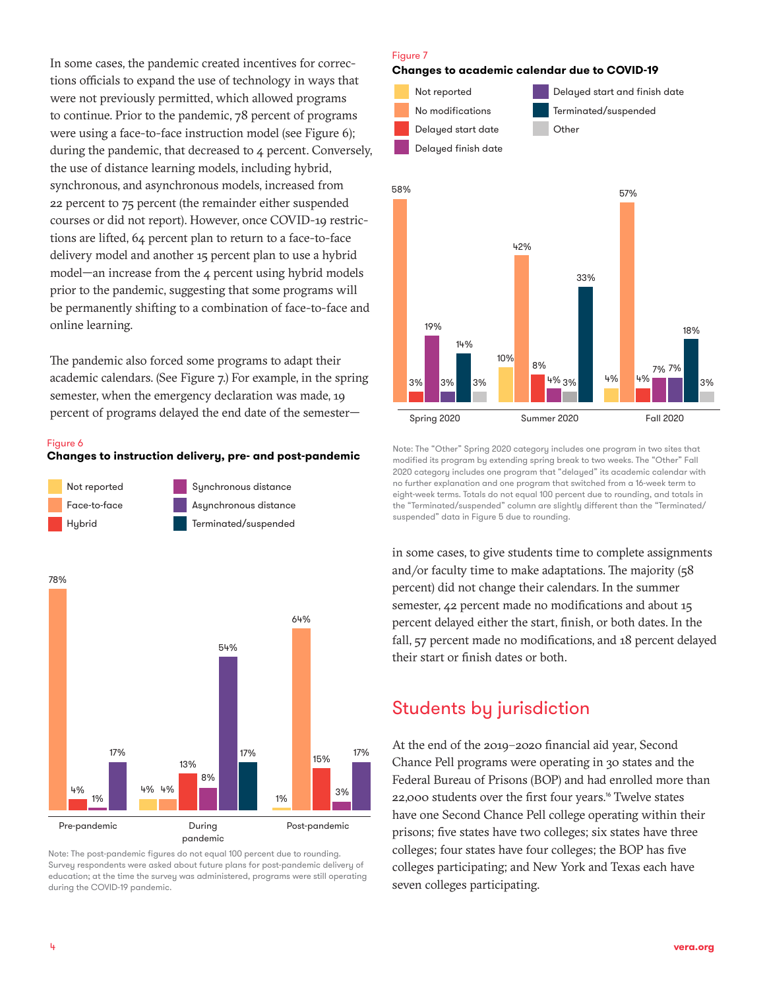<span id="page-3-0"></span>In some cases, the pandemic created incentives for corrections officials to expand the use of technology in ways that were not previously permitted, which allowed programs to continue. Prior to the pandemic, 78 percent of programs were using a face-to-face instruction model (see Figure 6); during the pandemic, that decreased to 4 percent. Conversely, the use of distance learning models, including hybrid, synchronous, and asynchronous models, increased from 22 percent to 75 percent (the remainder either suspended courses or did not report). However, once COVID-19 restrictions are lifted, 64 percent plan to return to a face-to-face delivery model and another 15 percent plan to use a hybrid model—an increase from the 4 percent using hybrid models prior to the pandemic, suggesting that some programs will be permanently shifting to a combination of face-to-face and online learning.

The pandemic also forced some programs to adapt their academic calendars. (See Figure 7.) For example, in the spring semester, when the emergency declaration was made, 19 percent of programs delayed the end date of the semester—

#### Figure 6

#### **Changes to instruction delivery, pre- and post-pandemic**



78%



Note: The post-pandemic figures do not equal 100 percent due to rounding. Survey respondents were asked about future plans for post-pandemic delivery of education; at the time the survey was administered, programs were still operating during the COVID-19 pandemic.

#### Figure 7

#### **Changes to academic calendar due to COVID-19**



Note: The "Other" Spring 2020 category includes one program in two sites that modified its program by extending spring break to two weeks. The "Other" Fall 2020 category includes one program that "delayed" its academic calendar with no further explanation and one program that switched from a 16-week term to eight-week terms. Totals do not equal 100 percent due to rounding, and totals in the "Terminated/suspended" column are slightly different than the "Terminated/ suspended" data in Figure 5 due to rounding.

in some cases, to give students time to complete assignments and/or faculty time to make adaptations. The majority (58 percent) did not change their calendars. In the summer semester, 42 percent made no modifications and about 15 percent delayed either the start, finish, or both dates. In the fall, 57 percent made no modifications, and 18 percent delayed their start or finish dates or both.

# Students by jurisdiction

At the end of the 2019–2020 financial aid year, Second Chance Pell programs were operating in 30 states and the Federal Bureau of Prisons (BOP) and had enrolled more than 22,000 students over the first four years.<sup>[16](#page-5-0)</sup> Twelve states have one Second Chance Pell college operating within their prisons; five states have two colleges; six states have three colleges; four states have four colleges; the BOP has five colleges participating; and New York and Texas each have seven colleges participating.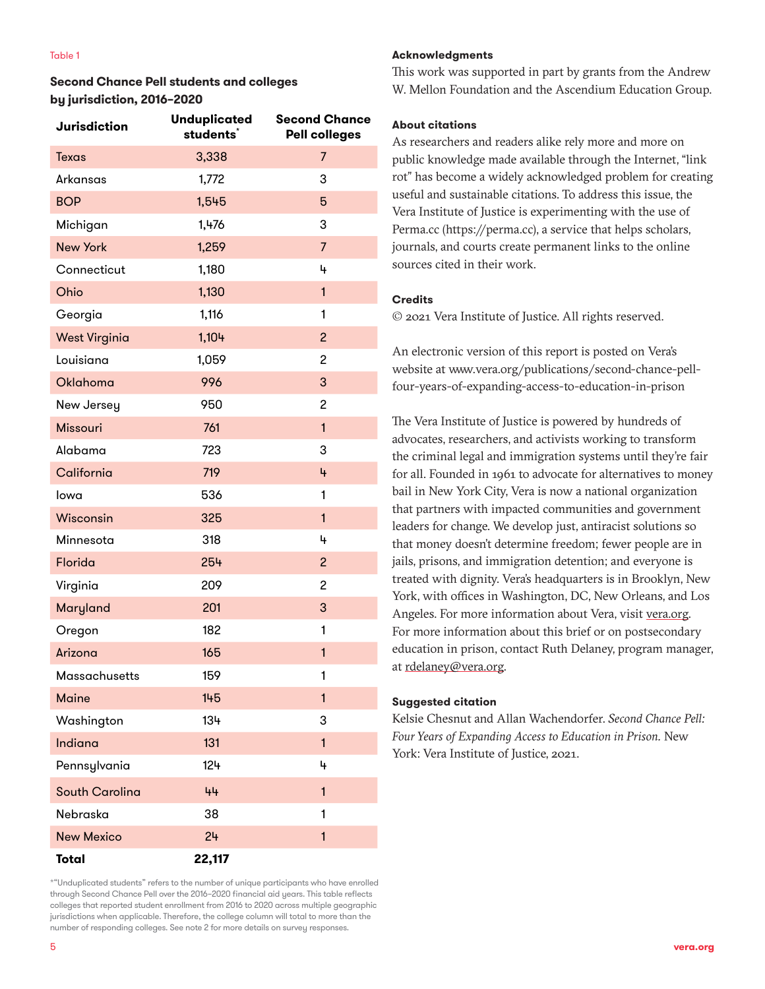# **Second Chance Pell students and colleges by jurisdiction, 2016–2020**

| <b>Jurisdiction</b>   | <b>Unduplicated</b><br>students <sup>*</sup> | <b>Second Chance</b><br><b>Pell colleges</b> |
|-----------------------|----------------------------------------------|----------------------------------------------|
| <b>Texas</b>          | 3,338                                        | 7                                            |
| Arkansas              | 1,772                                        | 3                                            |
| <b>BOP</b>            | 1,545                                        | 5                                            |
| Michigan              | 1,476                                        | 3                                            |
| <b>New York</b>       | 1,259                                        | $\overline{7}$                               |
| Connecticut           | 1,180                                        | 4                                            |
| Ohio                  | 1,130                                        | $\mathbf{1}$                                 |
| Georgia               | 1,116                                        | 1                                            |
| <b>West Virginia</b>  | 1,104                                        | $\overline{c}$                               |
| Louisiana             | 1,059                                        | 2                                            |
| <b>Oklahoma</b>       | 996                                          | 3                                            |
| New Jersey            | 950                                          | 2                                            |
| Missouri              | 761                                          | $\mathbf{1}$                                 |
| Alabama               | 723                                          | 3                                            |
| California            | 719                                          | 4                                            |
| lowa                  | 536                                          | 1                                            |
| Wisconsin             | 325                                          | $\mathbf{1}$                                 |
| Minnesota             | 318                                          | 4                                            |
| Florida               | 254                                          | $\overline{c}$                               |
| Virginia              | 209                                          | 2                                            |
| Maryland              | 201                                          | 3                                            |
| Oregon                | 182                                          | 1                                            |
| Arizona               | 165                                          | $\mathbf{1}$                                 |
| Massachusetts         | 159                                          | 1                                            |
| <b>Maine</b>          | 145                                          | $\mathbf{1}$                                 |
| Washington            | 134                                          | 3                                            |
| Indiana               | 131                                          | $\mathbf{1}$                                 |
| Pennsylvania          | 124                                          | 4                                            |
| <b>South Carolina</b> | 44                                           | $\mathbf{1}$                                 |
| Nebraska              | 38                                           | 1                                            |
| <b>New Mexico</b>     | 24                                           | $\mathbf{1}$                                 |
| <b>Total</b>          | 22,117                                       |                                              |

\*"Unduplicated students" refers to the number of unique participants who have enrolled through Second Chance Pell over the 2016–2020 financial aid years. This table reflects colleges that reported student enrollment from 2016 to 2020 across multiple geographic jurisdictions when applicable. Therefore, the college column will total to more than the number of responding colleges. See note 2 for more details on survey responses.

### **Acknowledgments**

This work was supported in part by grants from the Andrew W. Mellon Foundation and the Ascendium Education Group.

### **About citations**

As researchers and readers alike rely more and more on public knowledge made available through the Internet, "link rot" has become a widely acknowledged problem for creating useful and sustainable citations. To address this issue, the Vera Institute of Justice is experimenting with the use of Perma.cc (https://perma.cc), a service that helps scholars, journals, and courts create permanent links to the online sources cited in their work.

## **Credits**

© 2021 Vera Institute of Justice. All rights reserved.

An electronic version of this report is posted on Vera's website at www.vera.org/publications/second-chance-pellfour-years-of-expanding-access-to-education-in-prison

The Vera Institute of Justice is powered by hundreds of advocates, researchers, and activists working to transform the criminal legal and immigration systems until they're fair for all. Founded in 1961 to advocate for alternatives to money bail in New York City, Vera is now a national organization that partners with impacted communities and government leaders for change. We develop just, antiracist solutions so that money doesn't determine freedom; fewer people are in jails, prisons, and immigration detention; and everyone is treated with dignity. Vera's headquarters is in Brooklyn, New York, with offices in Washington, DC, New Orleans, and Los Angeles. For more information about Vera, visit [vera.org](http://www.vera.org). For more information about this brief or on postsecondary education in prison, contact Ruth Delaney, program manager, at [rdelaney@vera.org](mailto:rdelaney@vera.org).

## **Suggested citation**

Kelsie Chesnut and Allan Wachendorfer. *Second Chance Pell: Four Years of Expanding Access to Education in Prison.* New York: Vera Institute of Justice, 2021.